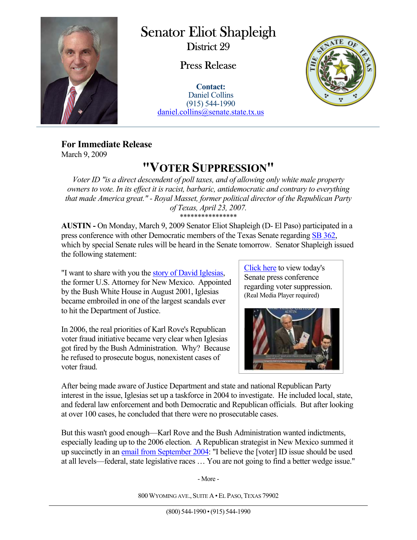

 $\overline{a}$ 

## Senator Eliot Shapleigh

District 29

## Press Release

**Contact:** Daniel Collins (915) 544-1990 daniel.collins@senate.state.tx.us



**For Immediate Release**  March 9, 2009

## **"VOTER SUPPRESSION"**

*Voter ID "is a direct descendent of poll taxes, and of allowing only white male property owners to vote. In its effect it is racist, barbaric, antidemocratic and contrary to everything that made America great." - Royal Masset, former political director of the Republican Party of Texas, April 23, 2007.*  \*\*\*\*\*\*\*\*\*\*\*\*\*\*\*\*

**AUSTIN -** On Monday, March 9, 2009 Senator Eliot Shapleigh (D- El Paso) participated in a press conference with other Democratic members of the Texas Senate regarding SB 362, which by special Senate rules will be heard in the Senate tomorrow. Senator Shapleigh issued the following statement:

"I want to share with you the story of David Iglesias, the former U.S. Attorney for New Mexico. Appointed by the Bush White House in August 2001, Iglesias became embroiled in one of the largest scandals ever to hit the Department of Justice.

In 2006, the real priorities of Karl Rove's Republican voter fraud initiative became very clear when Iglesias got fired by the Bush Administration. Why? Because he refused to prosecute bogus, nonexistent cases of voter fraud.

Click here to view today's Senate press conference regarding voter suppression. (Real Media Player required)



After being made aware of Justice Department and state and national Republican Party interest in the issue, Iglesias set up a taskforce in 2004 to investigate. He included local, state, and federal law enforcement and both Democratic and Republican officials. But after looking at over 100 cases, he concluded that there were no prosecutable cases.

But this wasn't good enough—Karl Rove and the Bush Administration wanted indictments, especially leading up to the 2006 election. A Republican strategist in New Mexico summed it up succinctly in an email from September 2004: "I believe the [voter] ID issue should be used at all levels—federal, state legislative races … You are not going to find a better wedge issue."

- More -

800 WYOMING AVE., SUITE A · EL PASO, TEXAS 79902